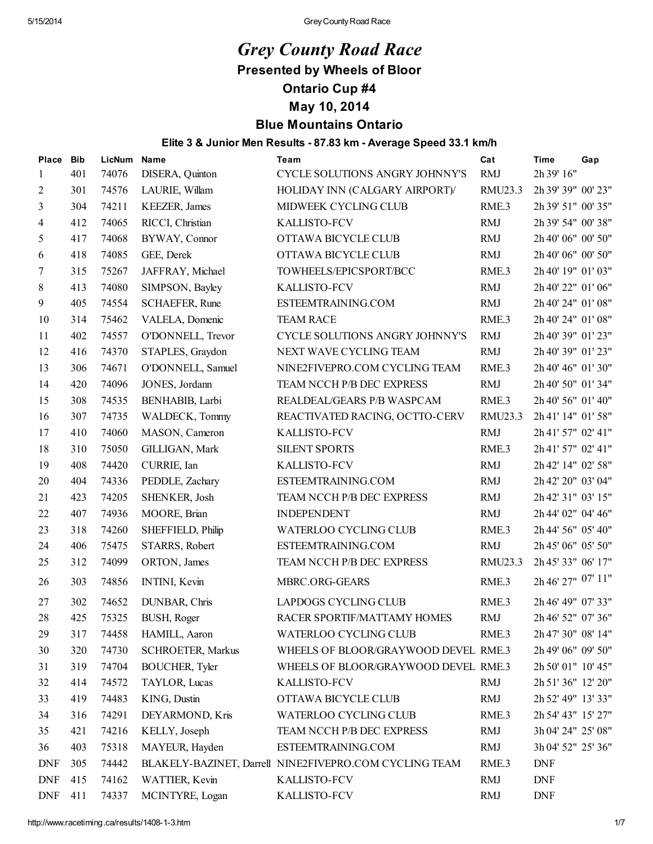# *Grey County Road Race*

### Presented by Wheels of Bloor

### Ontario Cup #4

### May 10, 2014

### Blue Mountains Ontario

#### Elite 3 & Junior Men Results - 87.83 km - Average Speed 33.1 km/h

| Place          | <b>Bib</b> | LicNum | <b>Name</b>              | <b>Team</b>                                            | Cat              | <b>Time</b>        | Gap |
|----------------|------------|--------|--------------------------|--------------------------------------------------------|------------------|--------------------|-----|
| 1              | 401        | 74076  | DISERA, Quinton          | CYCLE SOLUTIONS ANGRY JOHNNY'S                         | <b>RMJ</b>       | 2h 39' 16"         |     |
| $\overline{c}$ | 301        | 74576  | LAURIE, Willam           | HOLIDAY INN (CALGARY AIRPORT)/                         | RMU23.3          | 2h 39' 39" 00' 23" |     |
| 3              | 304        | 74211  | <b>KEEZER</b> , James    | MIDWEEK CYCLING CLUB                                   | RME.3            | 2h 39' 51" 00' 35" |     |
| 4              | 412        | 74065  | RICCI, Christian         | <b>KALLISTO-FCV</b>                                    | <b>RMJ</b>       | 2h 39' 54" 00' 38" |     |
| 5              | 417        | 74068  | BYWAY, Connor            | OTTAWA BICYCLE CLUB                                    | <b>RMJ</b>       | 2h 40' 06" 00' 50" |     |
| 6              | 418        | 74085  | GEE, Derek               | OTTAWA BICYCLE CLUB                                    | <b>RMJ</b>       | 2h 40' 06" 00' 50" |     |
| 7              | 315        | 75267  | JAFFRAY, Michael         | TOWHEELS/EPICSPORT/BCC                                 | RME.3            | 2h 40' 19" 01' 03" |     |
| 8              | 413        | 74080  | SIMPSON, Bayley          | KALLISTO-FCV                                           | <b>RMJ</b>       | 2h 40' 22" 01' 06" |     |
| 9              | 405        | 74554  | SCHAEFER, Rune           | ESTEEMTRAINING.COM                                     | <b>RMJ</b>       | 2h 40' 24" 01' 08" |     |
| 10             | 314        | 75462  | VALELA, Domenic          | <b>TEAM RACE</b>                                       | RME.3            | 2h 40' 24" 01' 08" |     |
| 11             | 402        | 74557  | O'DONNELL, Trevor        | CYCLE SOLUTIONS ANGRY JOHNNY'S                         | <b>RMJ</b>       | 2h 40' 39" 01' 23" |     |
| 12             | 416        | 74370  | STAPLES, Graydon         | NEXT WAVE CYCLING TEAM                                 | <b>RMJ</b>       | 2h 40' 39" 01' 23" |     |
| 13             | 306        | 74671  | O'DONNELL, Samuel        | NINE2FIVEPRO.COM CYCLING TEAM                          | RME <sub>3</sub> | 2h 40' 46" 01' 30" |     |
| 14             | 420        | 74096  | JONES, Jordann           | TEAM NCCH P/B DEC EXPRESS                              | <b>RMJ</b>       | 2h 40' 50" 01' 34" |     |
| 15             | 308        | 74535  | BENHABIB, Larbi          | REALDEAL/GEARS P/B WASPCAM                             | RME.3            | 2h 40' 56" 01' 40" |     |
| 16             | 307        | 74735  | WALDECK, Tommy           | REACTIVATED RACING, OCTTO-CERV                         | RMU23.3          | 2h 41' 14" 01' 58" |     |
| 17             | 410        | 74060  | MASON, Cameron           | KALLISTO-FCV                                           | <b>RMJ</b>       | 2h 41' 57" 02' 41" |     |
| 18             | 310        | 75050  | GILLIGAN, Mark           | <b>SILENT SPORTS</b>                                   | RME <sub>3</sub> | 2h 41' 57" 02' 41" |     |
| 19             | 408        | 74420  | CURRIE, Ian              | KALLISTO-FCV                                           | <b>RMJ</b>       | 2h 42' 14" 02' 58" |     |
| 20             | 404        | 74336  | PEDDLE, Zachary          | ESTEEMTRAINING.COM                                     | <b>RMJ</b>       | 2h 42' 20" 03' 04" |     |
| 21             | 423        | 74205  | SHENKER, Josh            | TEAM NCCH P/B DEC EXPRESS                              | <b>RMJ</b>       | 2h 42' 31" 03' 15" |     |
| 22             | 407        | 74936  | MOORE, Brian             | <b>INDEPENDENT</b>                                     | <b>RMJ</b>       | 2h 44' 02" 04' 46" |     |
| 23             | 318        | 74260  | SHEFFIELD, Philip        | <b>WATERLOO CYCLING CLUB</b>                           | RME.3            | 2h 44' 56" 05' 40" |     |
| 24             | 406        | 75475  | STARRS, Robert           | ESTEEMTRAINING.COM                                     | <b>RMJ</b>       | 2h 45' 06" 05' 50" |     |
| 25             | 312        | 74099  | ORTON, James             | TEAM NCCH P/B DEC EXPRESS                              | RMU23.3          | 2h 45' 33" 06' 17" |     |
| 26             | 303        | 74856  | <b>INTINI</b> , Kevin    | MBRC.ORG-GEARS                                         | RME <sub>3</sub> | 2h 46' 27" 07' 11" |     |
| 27             | 302        | 74652  | DUNBAR, Chris            | LAPDOGS CYCLING CLUB                                   | RME.3            | 2h 46' 49" 07' 33" |     |
| 28             | 425        | 75325  | BUSH, Roger              | RACER SPORTIF/MATTAMY HOMES                            | <b>RMJ</b>       | 2h 46' 52" 07' 36" |     |
| 29             | 317        | 74458  | HAMILL, Aaron            | WATERLOO CYCLING CLUB                                  | RME.3            | 2h 47' 30" 08' 14" |     |
| 30             | 320        | 74730  | <b>SCHROETER, Markus</b> | WHEELS OF BLOOR/GRAYWOOD DEVEL RME.3                   |                  | 2h 49' 06" 09' 50" |     |
| 31             | 319        | 74704  | BOUCHER, Tyler           | WHEELS OF BLOOR/GRAYWOOD DEVEL RME.3                   |                  | 2h 50' 01" 10' 45" |     |
| 32             | 414        | 74572  | TAYLOR, Lucas            | <b>KALLISTO-FCV</b>                                    | <b>RMJ</b>       | 2h 51' 36" 12' 20" |     |
| 33             | 419        | 74483  | KING, Dustin             | OTTAWA BICYCLE CLUB                                    | <b>RMJ</b>       | 2h 52' 49" 13' 33" |     |
| 34             | 316        | 74291  | DEYARMOND, Kris          | <b>WATERLOO CYCLING CLUB</b>                           | RME.3            | 2h 54' 43" 15' 27" |     |
| 35             | 421        | 74216  | KELLY, Joseph            | TEAM NCCH P/B DEC EXPRESS                              | <b>RMJ</b>       | 3h 04' 24" 25' 08" |     |
| 36             | 403        | 75318  | MAYEUR, Hayden           | ESTEEMTRAINING.COM                                     | <b>RMJ</b>       | 3h 04' 52" 25' 36" |     |
| <b>DNF</b>     | 305        | 74442  |                          | BLAKELY-BAZINET, Darrell NINE2FIVEPRO.COM CYCLING TEAM | RME.3            | <b>DNF</b>         |     |
| <b>DNF</b>     | 415        | 74162  | WATTIER, Kevin           | <b>KALLISTO-FCV</b>                                    | <b>RMJ</b>       | <b>DNF</b>         |     |
| <b>DNF</b>     | 411        | 74337  | MCINTYRE, Logan          | KALLISTO-FCV                                           | <b>RMJ</b>       | <b>DNF</b>         |     |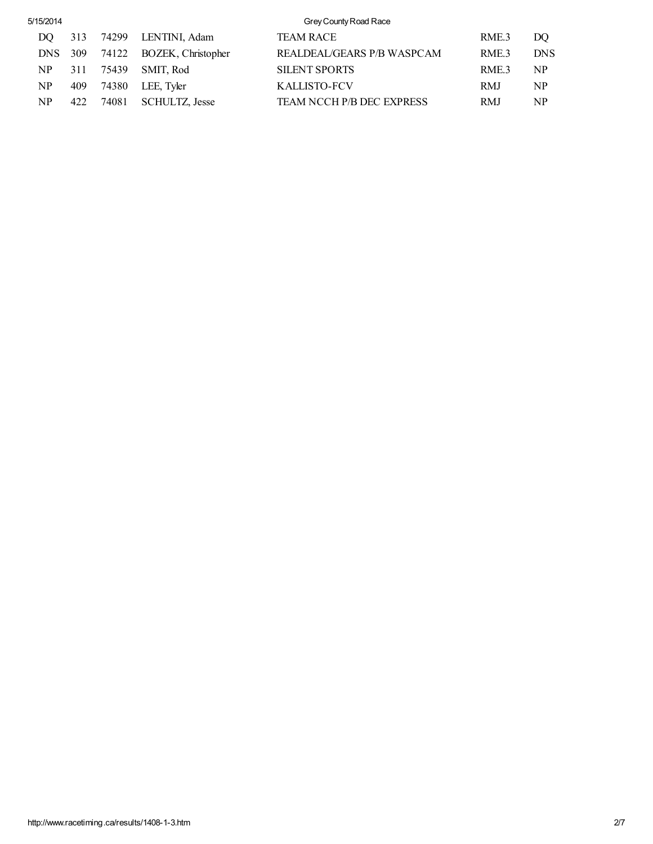| 5/15/2014 |         |     |       |                          | Grey County Road Race      |                  |            |  |  |  |
|-----------|---------|-----|-------|--------------------------|----------------------------|------------------|------------|--|--|--|
|           | DO.     | 313 |       | 74299 LENTINI, Adam      | <b>TEAM RACE</b>           | RME.3            | DO         |  |  |  |
|           | DNS 309 |     |       | 74122 BOZEK, Christopher | REALDEAL/GEARS P/B WASPCAM | RME <sub>3</sub> | <b>DNS</b> |  |  |  |
|           | NP.     | 311 | 75439 | SMIT. Rod                | <b>SILENT SPORTS</b>       | RME <sub>3</sub> | NP         |  |  |  |
|           | NP      | 409 | 74380 | LEE, Tyler               | KALLISTO-FCV               | RMJ              | NP         |  |  |  |
|           | NP      | 422 | 74081 | <b>SCHULTZ, Jesse</b>    | TEAM NCCH P/B DEC EXPRESS  | RMJ              | NP         |  |  |  |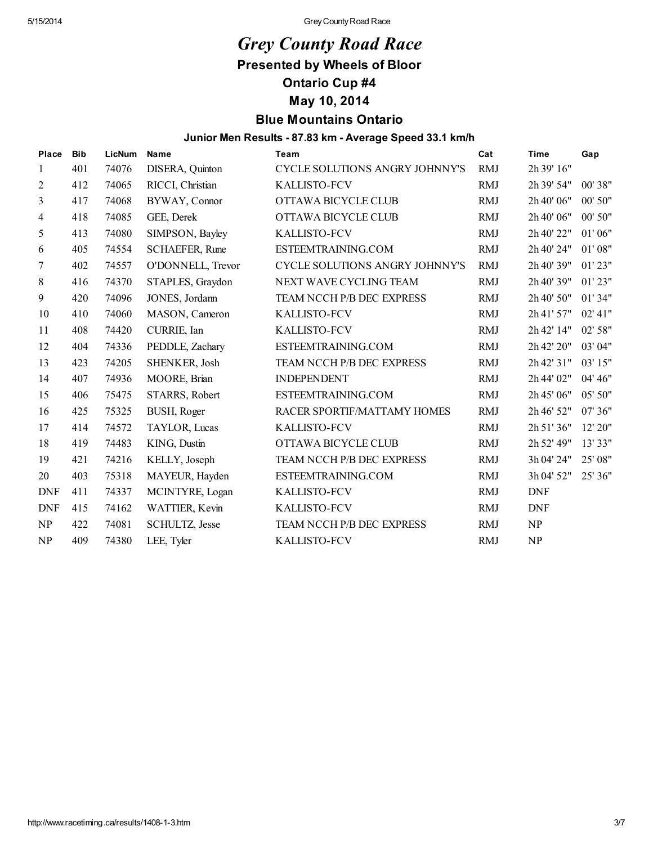## *Grey County Road Race*

Presented by Wheels of Bloor

Ontario Cup #4

May 10, 2014

### Blue Mountains Ontario

#### Junior Men Results - 87.83 km - Average Speed 33.1 km/h

| <b>Place</b>   | <b>Bib</b> | LicNum | <b>Name</b>           | Team                                  | Cat        | <b>Time</b> | Gap      |
|----------------|------------|--------|-----------------------|---------------------------------------|------------|-------------|----------|
| 1              | 401        | 74076  | DISERA, Quinton       | CYCLE SOLUTIONS ANGRY JOHNNY'S        | <b>RMJ</b> | 2h 39' 16"  |          |
| $\overline{2}$ | 412        | 74065  | RICCI, Christian      | <b>KALLISTO-FCV</b>                   | <b>RMJ</b> | 2h 39' 54"  | 00' 38"  |
| 3              | 417        | 74068  | BYWAY, Connor         | OTTAWA BICYCLE CLUB                   | <b>RMJ</b> | 2h 40' 06"  | 00' 50"  |
| 4              | 418        | 74085  | GEE, Derek            | OTTAWA BICYCLE CLUB                   | <b>RMJ</b> | 2h 40' 06"  | 00' 50"  |
| 5              | 413        | 74080  | SIMPSON, Bayley       | <b>KALLISTO-FCV</b>                   | <b>RMJ</b> | 2h 40' 22"  | 01'06"   |
| 6              | 405        | 74554  | <b>SCHAEFER, Rune</b> | ESTEEMTRAINING.COM                    | <b>RMJ</b> | 2h 40' 24"  | 01'08"   |
| 7              | 402        | 74557  | O'DONNELL, Trevor     | <b>CYCLE SOLUTIONS ANGRY JOHNNY'S</b> | <b>RMJ</b> | 2h 40' 39"  | 01'23"   |
| 8              | 416        | 74370  | STAPLES, Graydon      | NEXT WAVE CYCLING TEAM                | <b>RMJ</b> | 2h 40' 39"  | 01'23"   |
| 9              | 420        | 74096  | JONES, Jordann        | TEAM NCCH P/B DEC EXPRESS             | <b>RMJ</b> | 2h 40' 50"  | 01' 34"  |
| 10             | 410        | 74060  | MASON, Cameron        | <b>KALLISTO-FCV</b>                   | <b>RMJ</b> | 2h 41' 57"  | 02' 41'' |
| 11             | 408        | 74420  | CURRIE, Ian           | <b>KALLISTO-FCV</b>                   | <b>RMJ</b> | 2h 42' 14"  | 02' 58"  |
| 12             | 404        | 74336  | PEDDLE, Zachary       | ESTEEMTRAINING.COM                    | <b>RMJ</b> | 2h 42' 20"  | 03' 04"  |
| 13             | 423        | 74205  | SHENKER, Josh         | TEAM NCCH P/B DEC EXPRESS             | <b>RMJ</b> | 2h 42' 31"  | 03' 15"  |
| 14             | 407        | 74936  | MOORE, Brian          | <b>INDEPENDENT</b>                    | <b>RMJ</b> | 2h 44' 02"  | 04' 46"  |
| 15             | 406        | 75475  | STARRS, Robert        | ESTEEMTRAINING.COM                    | <b>RMJ</b> | 2h 45' 06"  | 05' 50"  |
| 16             | 425        | 75325  | BUSH, Roger           | RACER SPORTIF/MATTAMY HOMES           | <b>RMJ</b> | 2h 46' 52"  | 07' 36"  |
| 17             | 414        | 74572  | TAYLOR, Lucas         | <b>KALLISTO-FCV</b>                   | <b>RMJ</b> | 2h 51' 36"  | 12' 20"  |
| 18             | 419        | 74483  | KING, Dustin          | OTTAWA BICYCLE CLUB                   | <b>RMJ</b> | 2h 52' 49"  | 13' 33"  |
| 19             | 421        | 74216  | KELLY, Joseph         | TEAM NCCH P/B DEC EXPRESS             | <b>RMJ</b> | 3h 04' 24"  | 25' 08"  |
| 20             | 403        | 75318  | MAYEUR, Hayden        | ESTEEMTRAINING.COM                    | <b>RMJ</b> | 3h 04' 52"  | 25' 36"  |
| <b>DNF</b>     | 411        | 74337  | MCINTYRE, Logan       | <b>KALLISTO-FCV</b>                   | <b>RMJ</b> | <b>DNF</b>  |          |
| <b>DNF</b>     | 415        | 74162  | WATTIER, Kevin        | <b>KALLISTO-FCV</b>                   | <b>RMJ</b> | <b>DNF</b>  |          |
| NP             | 422        | 74081  | SCHULTZ, Jesse        | TEAM NCCH P/B DEC EXPRESS             | <b>RMJ</b> | NP          |          |
| NP             | 409        | 74380  | LEE, Tyler            | <b>KALLISTO-FCV</b>                   | <b>RMJ</b> | NP          |          |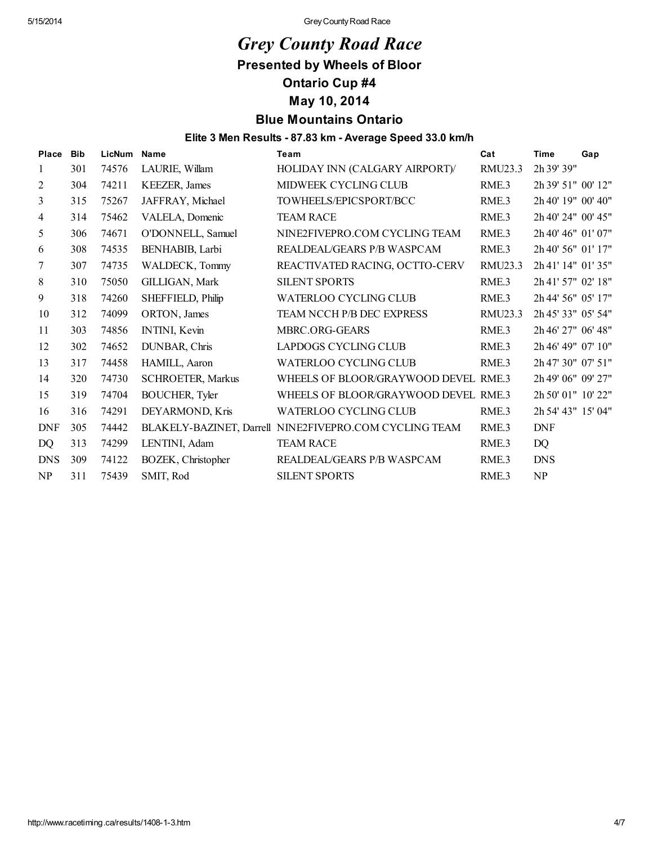## *Grey County Road Race*

Presented by Wheels of Bloor

Ontario Cup #4

May 10, 2014

### Blue Mountains Ontario

#### Elite 3 Men Results - 87.83 km - Average Speed 33.0 km/h

| Place          | <b>Bib</b> | <b>LicNum</b> | Name                     | Team                                                   | Cat     | <b>Time</b>        | Gap |
|----------------|------------|---------------|--------------------------|--------------------------------------------------------|---------|--------------------|-----|
| 1              | 301        | 74576         | LAURIE, Willam           | HOLIDAY INN (CALGARY AIRPORT)/                         | RMU23.3 | 2h 39' 39"         |     |
| $\overline{2}$ | 304        | 74211         | <b>KEEZER</b> , James    | MIDWEEK CYCLING CLUB                                   | RME.3   | 2h 39' 51" 00' 12" |     |
| 3              | 315        | 75267         | JAFFRAY, Michael         | TOWHEELS/EPICSPORT/BCC                                 | RME.3   | 2h 40' 19" 00' 40" |     |
| 4              | 314        | 75462         | VALELA, Domenic          | <b>TEAM RACE</b>                                       | RME.3   | 2h 40' 24" 00' 45" |     |
| 5              | 306        | 74671         | O'DONNELL, Samuel        | NINE2FIVEPRO.COM CYCLING TEAM                          | RME.3   | 2h 40' 46" 01' 07" |     |
| 6              | 308        | 74535         | BENHABIB, Larbi          | REALDEAL/GEARS P/B WASPCAM                             | RME.3   | 2h 40' 56" 01' 17" |     |
| 7              | 307        | 74735         | WALDECK, Tommy           | REACTIVATED RACING, OCTTO-CERV                         | RMU23.3 | 2h 41' 14" 01' 35" |     |
| 8              | 310        | 75050         | GILLIGAN, Mark           | <b>SILENT SPORTS</b>                                   | RME.3   | 2h 41' 57" 02' 18" |     |
| 9              | 318        | 74260         | SHEFFIELD, Philip        | <b>WATERLOO CYCLING CLUB</b>                           | RME.3   | 2h 44' 56" 05' 17" |     |
| 10             | 312        | 74099         | ORTON, James             | TEAM NCCH P/B DEC EXPRESS                              | RMU23.3 | 2h 45' 33" 05' 54" |     |
| 11             | 303        | 74856         | INTINI, Kevin            | MBRC.ORG-GEARS                                         | RME.3   | 2h 46' 27" 06' 48" |     |
| 12             | 302        | 74652         | DUNBAR, Chris            | LAPDOGS CYCLING CLUB                                   | RME.3   | 2h 46' 49" 07' 10" |     |
| 13             | 317        | 74458         | HAMILL, Aaron            | <b>WATERLOO CYCLING CLUB</b>                           | RME.3   | 2h 47' 30" 07' 51" |     |
| 14             | 320        | 74730         | <b>SCHROETER, Markus</b> | WHEELS OF BLOOR/GRAYWOOD DEVEL RME.3                   |         | 2h 49' 06" 09' 27" |     |
| 15             | 319        | 74704         | <b>BOUCHER, Tyler</b>    | WHEELS OF BLOOR/GRAYWOOD DEVEL RME.3                   |         | 2h 50' 01" 10' 22" |     |
| 16             | 316        | 74291         | DEYARMOND, Kris          | <b>WATERLOO CYCLING CLUB</b>                           | RME.3   | 2h 54' 43" 15' 04" |     |
| <b>DNF</b>     | 305        | 74442         |                          | BLAKELY-BAZINET, Darrell NINE2FIVEPRO.COM CYCLING TEAM | RME.3   | <b>DNF</b>         |     |
| DQ             | 313        | 74299         | LENTINI, Adam            | <b>TEAM RACE</b>                                       | RME.3   | DQ                 |     |
| <b>DNS</b>     | 309        | 74122         | BOZEK, Christopher       | REALDEAL/GEARS P/B WASPCAM                             | RME.3   | <b>DNS</b>         |     |
| NP             | 311        | 75439         | SMIT, Rod                | <b>SILENT SPORTS</b>                                   | RME.3   | NP                 |     |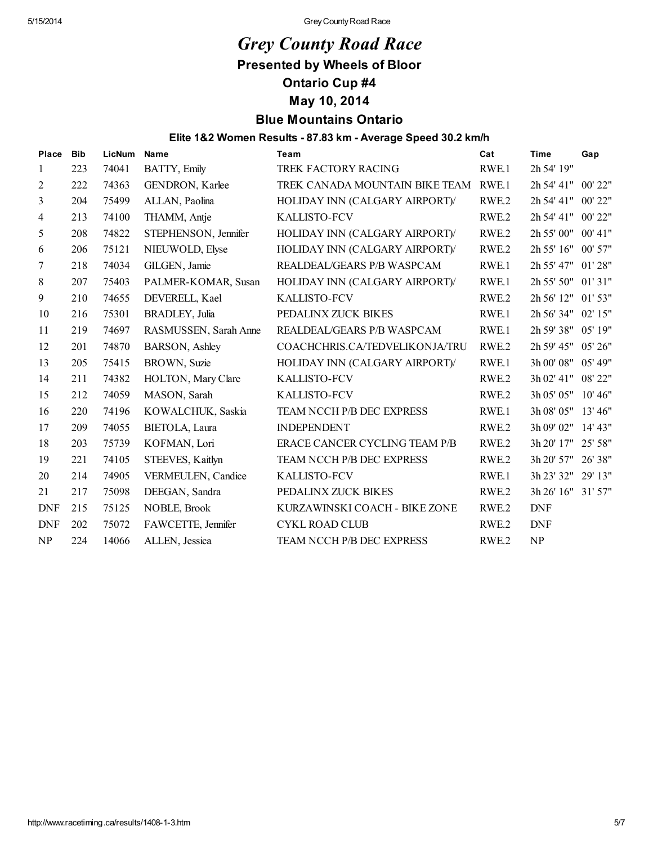## *Grey County Road Race*

Presented by Wheels of Bloor

Ontario Cup #4

May 10, 2014

### Blue Mountains Ontario

#### Elite 1&2 Women Results - 87.83 km - Average Speed 30.2 km/h

| Place          | <b>Bib</b> | LicNum | Name                   | Team                                 | Cat              | <b>Time</b>        | Gap      |
|----------------|------------|--------|------------------------|--------------------------------------|------------------|--------------------|----------|
| 1              | 223        | 74041  | BATTY, Emily           | TREK FACTORY RACING                  | RWE.1            | 2h 54' 19"         |          |
| $\overline{2}$ | 222        | 74363  | GENDRON, Karlee        | TREK CANADA MOUNTAIN BIKE TEAM RWE.1 |                  | 2h 54' 41" 00' 22" |          |
| 3              | 204        | 75499  | ALLAN, Paolina         | HOLIDAY INN (CALGARY AIRPORT)/       | RWE.2            | 2h 54' 41" 00' 22" |          |
| 4              | 213        | 74100  | THAMM, Antie           | <b>KALLISTO-FCV</b>                  | RWE.2            | 2h 54' 41" 00' 22" |          |
| 5              | 208        | 74822  | STEPHENSON, Jennifer   | HOLIDAY INN (CALGARY AIRPORT)/       | RWE.2            | 2h 55' 00" 00' 41" |          |
| 6              | 206        | 75121  | NIEUWOLD, Elyse        | HOLIDAY INN (CALGARY AIRPORT)/       | RWE.2            | 2h 55' 16" 00' 57" |          |
| 7              | 218        | 74034  | GILGEN, Jamie          | REALDEAL/GEARS P/B WASPCAM           | RWE <sub>1</sub> | 2h 55' 47" 01' 28" |          |
| $\,8\,$        | 207        | 75403  | PALMER-KOMAR, Susan    | HOLIDAY INN (CALGARY AIRPORT)/       | RWE.1            | 2h 55' 50" 01' 31" |          |
| 9              | 210        | 74655  | DEVERELL, Kael         | <b>KALLISTO-FCV</b>                  | RWE.2            | 2h 56' 12" 01' 53" |          |
| 10             | 216        | 75301  | <b>BRADLEY</b> , Julia | PEDALINX ZUCK BIKES                  | RWE <sub>1</sub> | 2h 56' 34" 02' 15" |          |
| 11             | 219        | 74697  | RASMUSSEN, Sarah Anne  | REALDEAL/GEARS P/B WASPCAM           | RWE.1            | 2h 59' 38" 05' 19" |          |
| 12             | 201        | 74870  | BARSON, Ashley         | COACHCHRIS.CA/TEDVELIKONJA/TRU       | RWE <sub>2</sub> | 2h 59' 45" 05' 26" |          |
| 13             | 205        | 75415  | BROWN, Suzie           | HOLIDAY INN (CALGARY AIRPORT)/       | RWE.1            | 3h 00' 08" 05' 49" |          |
| 14             | 211        | 74382  | HOLTON, Mary Clare     | <b>KALLISTO-FCV</b>                  | RWE.2            | 3h 02' 41" 08' 22" |          |
| 15             | 212        | 74059  | MASON, Sarah           | <b>KALLISTO-FCV</b>                  | RWE <sub>2</sub> | 3h 05' 05"         | 10' 46'' |
| 16             | 220        | 74196  | KOWALCHUK, Saskia      | TEAM NCCH P/B DEC EXPRESS            | RWE <sub>1</sub> | 3h 08' 05" 13' 46" |          |
| 17             | 209        | 74055  | BIETOLA, Laura         | <b>INDEPENDENT</b>                   | RWE.2            | 3h 09' 02" 14' 43" |          |
| 18             | 203        | 75739  | KOFMAN, Lori           | ERACE CANCER CYCLING TEAM P/B        | RWE.2            | 3h 20' 17" 25' 58" |          |
| 19             | 221        | 74105  | STEEVES, Kaitlyn       | TEAM NCCH P/B DEC EXPRESS            | RWE.2            | 3h 20' 57"         | 26' 38"  |
| 20             | 214        | 74905  | VERMEULEN, Candice     | <b>KALLISTO-FCV</b>                  | RWE.1            | 3h 23' 32" 29' 13" |          |
| 21             | 217        | 75098  | DEEGAN, Sandra         | PEDALINX ZUCK BIKES                  | RWE.2            | 3h 26' 16" 31' 57" |          |
| <b>DNF</b>     | 215        | 75125  | NOBLE, Brook           | KURZAWINSKI COACH - BIKE ZONE        | RWE <sub>2</sub> | <b>DNF</b>         |          |
| <b>DNF</b>     | 202        | 75072  | FAWCETTE, Jennifer     | <b>CYKL ROAD CLUB</b>                | RWE.2            | <b>DNF</b>         |          |
| NP             | 224        | 14066  | ALLEN, Jessica         | TEAM NCCH P/B DEC EXPRESS            | RWE.2            | NP                 |          |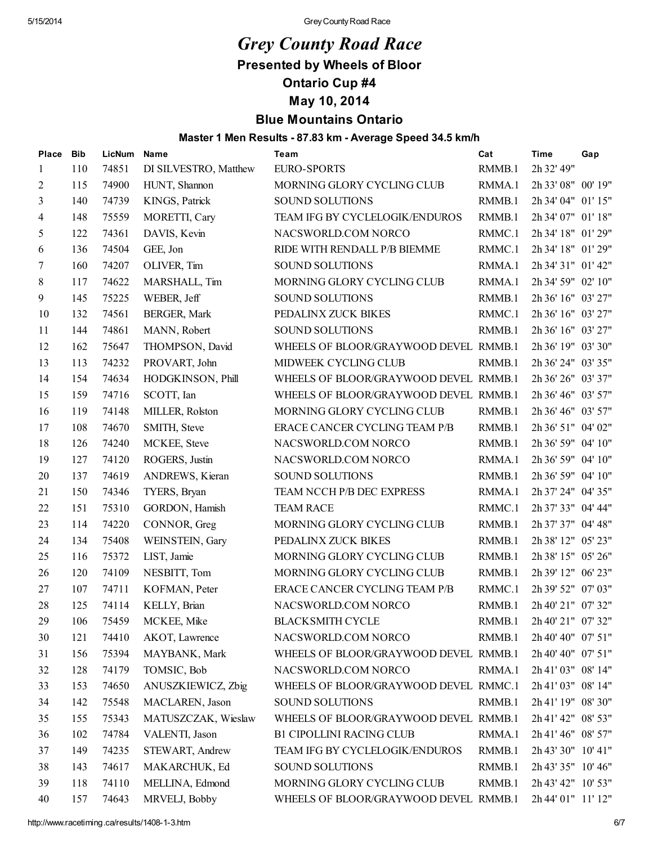## *Grey County Road Race*

Presented by Wheels of Bloor

Ontario Cup #4

May 10, 2014

### Blue Mountains Ontario

#### Master 1 Men Results - 87.83 km - Average Speed 34.5 km/h

| Place | <b>Bib</b> | LicNum | Name                  | <b>Team</b>                           | Cat    | <b>Time</b>        | Gap |
|-------|------------|--------|-----------------------|---------------------------------------|--------|--------------------|-----|
| 1     | 110        | 74851  | DI SILVESTRO, Matthew | <b>EURO-SPORTS</b>                    | RMMB.1 | 2h 32' 49"         |     |
| 2     | 115        | 74900  | HUNT, Shannon         | MORNING GLORY CYCLING CLUB            | RMMA.1 | 2h 33' 08" 00' 19" |     |
| 3     | 140        | 74739  | KINGS, Patrick        | SOUND SOLUTIONS                       | RMMB.1 | 2h 34' 04" 01' 15" |     |
| 4     | 148        | 75559  | MORETTI, Cary         | TEAM IFG BY CYCLELOGIK/ENDUROS        | RMMB.1 | 2h 34' 07" 01' 18" |     |
| 5     | 122        | 74361  | DAVIS, Kevin          | NACSWORLD.COM NORCO                   | RMMC.1 | 2h 34' 18" 01' 29" |     |
| 6     | 136        | 74504  | GEE, Jon              | RIDE WITH RENDALL P/B BIEMME          | RMMC.1 | 2h 34' 18" 01' 29" |     |
| 7     | 160        | 74207  | OLIVER, Tim           | <b>SOUND SOLUTIONS</b>                | RMMA.1 | 2h 34' 31" 01' 42" |     |
| 8     | 117        | 74622  | MARSHALL, Tim         | MORNING GLORY CYCLING CLUB            | RMMA.1 | 2h 34' 59" 02' 10" |     |
| 9     | 145        | 75225  | WEBER, Jeff           | <b>SOUND SOLUTIONS</b>                | RMMB.1 | 2h 36' 16" 03' 27" |     |
| 10    | 132        | 74561  | BERGER, Mark          | PEDALINX ZUCK BIKES                   | RMMC.1 | 2h 36' 16" 03' 27" |     |
| 11    | 144        | 74861  | MANN, Robert          | SOUND SOLUTIONS                       | RMMB.1 | 2h 36' 16" 03' 27" |     |
| 12    | 162        | 75647  | THOMPSON, David       | WHEELS OF BLOOR/GRAYWOOD DEVEL RMMB.1 |        | 2h 36' 19" 03' 30" |     |
| 13    | 113        | 74232  | PROVART, John         | MIDWEEK CYCLING CLUB                  | RMMB.1 | 2h 36' 24" 03' 35" |     |
| 14    | 154        | 74634  | HODGKINSON, Phill     | WHEELS OF BLOOR/GRAYWOOD DEVEL RMMB.1 |        | 2h 36' 26" 03' 37" |     |
| 15    | 159        | 74716  | SCOTT, Ian            | WHEELS OF BLOOR/GRAYWOOD DEVEL RMMB.1 |        | 2h 36' 46" 03' 57" |     |
| 16    | 119        | 74148  | MILLER, Rolston       | MORNING GLORY CYCLING CLUB            | RMMB.1 | 2h 36' 46" 03' 57" |     |
| 17    | 108        | 74670  | SMITH, Steve          | ERACE CANCER CYCLING TEAM P/B         | RMMB.1 | 2h 36' 51" 04' 02" |     |
| 18    | 126        | 74240  | MCKEE, Steve          | NACSWORLD.COM NORCO                   | RMMB.1 | 2h 36' 59" 04' 10" |     |
| 19    | 127        | 74120  | ROGERS, Justin        | NACSWORLD.COM NORCO                   | RMMA.1 | 2h 36' 59" 04' 10" |     |
| 20    | 137        | 74619  | ANDREWS, Kieran       | SOUND SOLUTIONS                       | RMMB.1 | 2h 36' 59" 04' 10" |     |
| 21    | 150        | 74346  | TYERS, Bryan          | TEAM NCCH P/B DEC EXPRESS             | RMMA.1 | 2h 37' 24" 04' 35" |     |
| 22    | 151        | 75310  | GORDON, Hamish        | <b>TEAM RACE</b>                      | RMMC.1 | 2h 37' 33" 04' 44" |     |
| 23    | 114        | 74220  | CONNOR, Greg          | MORNING GLORY CYCLING CLUB            | RMMB.1 | 2h 37' 37" 04' 48" |     |
| 24    | 134        | 75408  | WEINSTEIN, Gary       | PEDALINX ZUCK BIKES                   | RMMB.1 | 2h 38' 12" 05' 23" |     |
| 25    | 116        | 75372  | LIST, Jamie           | MORNING GLORY CYCLING CLUB            | RMMB.1 | 2h 38' 15" 05' 26" |     |
| 26    | 120        | 74109  | NESBITT, Tom          | MORNING GLORY CYCLING CLUB            | RMMB.1 | 2h 39' 12" 06' 23" |     |
| 27    | 107        | 74711  | KOFMAN, Peter         | ERACE CANCER CYCLING TEAM P/B         | RMMC.1 | 2h 39' 52" 07' 03" |     |
| 28    | 125        | 74114  | KELLY, Brian          | NACSWORLD.COM NORCO                   | RMMB.1 | 2h 40' 21" 07' 32" |     |
| 29    | 106        | 75459  | MCKEE, Mike           | <b>BLACKSMITH CYCLE</b>               | RMMB.1 | 2h 40' 21" 07' 32" |     |
| 30    | 121        | 74410  | AKOT, Lawrence        | NACSWORLD.COM NORCO                   | RMMB.1 | 2h 40' 40" 07' 51" |     |
| 31    | 156        | 75394  | MAYBANK, Mark         | WHEELS OF BLOOR/GRAYWOOD DEVEL RMMB.1 |        | 2h 40' 40" 07' 51" |     |
| 32    | 128        | 74179  | TOMSIC, Bob           | NACSWORLD.COM NORCO                   | RMMA.1 | 2h 41' 03" 08' 14" |     |
| 33    | 153        | 74650  | ANUSZKIEWICZ, Zbig    | WHEELS OF BLOOR/GRAYWOOD DEVEL RMMC.1 |        | 2h 41' 03" 08' 14" |     |
| 34    | 142        | 75548  | MACLAREN, Jason       | SOUND SOLUTIONS                       | RMMB.1 | 2h 41' 19" 08' 30" |     |
| 35    | 155        | 75343  | MATUSZCZAK, Wieslaw   | WHEELS OF BLOOR/GRAYWOOD DEVEL RMMB.1 |        | 2h 41' 42" 08' 53" |     |
| 36    | 102        | 74784  | VALENTI, Jason        | <b>B1 CIPOLLINI RACING CLUB</b>       | RMMA.1 | 2h 41' 46" 08' 57" |     |
| 37    | 149        | 74235  | STEWART, Andrew       | TEAM IFG BY CYCLELOGIK/ENDUROS        | RMMB.1 | 2h 43' 30" 10' 41" |     |
| 38    | 143        | 74617  | MAKARCHUK, Ed         | SOUND SOLUTIONS                       | RMMB.1 | 2h 43' 35" 10' 46" |     |
| 39    | 118        | 74110  | MELLINA, Edmond       | MORNING GLORY CYCLING CLUB            | RMMB.1 | 2h 43' 42" 10' 53" |     |
| 40    | 157        | 74643  | MRVELJ, Bobby         | WHEELS OF BLOOR/GRAYWOOD DEVEL RMMB.1 |        | 2h 44' 01" 11' 12" |     |